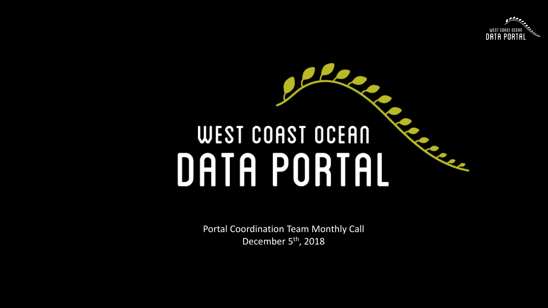

# $\bullet$ **WEST COAST OCEAN** DATA PORTAL

Portal Coordination Team Monthly Call December 5<sup>th</sup>, 2018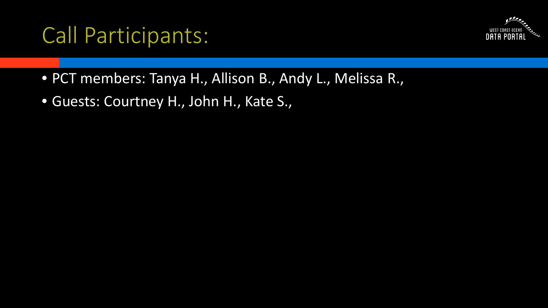## Call Participants:



- PCT members: Tanya H., Allison B., Andy L., Melissa R.,
- Guests: Courtney H., John H., Kate S.,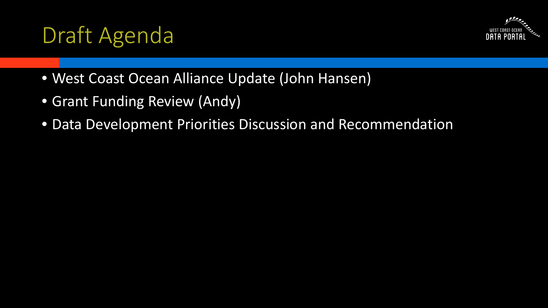## Draft Agenda



- West Coast Ocean Alliance Update (John Hansen)
- Grant Funding Review (Andy)
- Data Development Priorities Discussion and Recommendation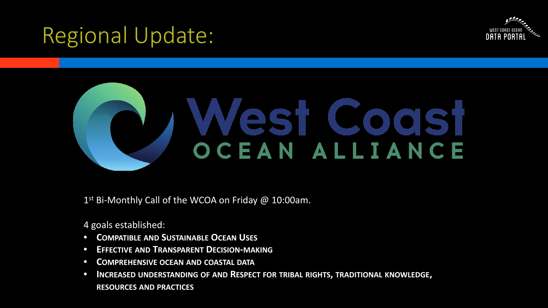## Regional Update:





1<sup>st</sup> Bi-Monthly Call of the WCOA on Friday @ 10:00am.

4 goals established:

- **COMPATIBLE AND SUSTAINABLE OCEAN USES**
- **EFFECTIVE AND TRANSPARENT DECISION-MAKING**
- **COMPREHENSIVE OCEAN AND COASTAL DATA**
- **INCREASED UNDERSTANDING OF AND RESPECT FOR TRIBAL RIGHTS, TRADITIONAL KNOWLEDGE, RESOURCES AND PRACTICES**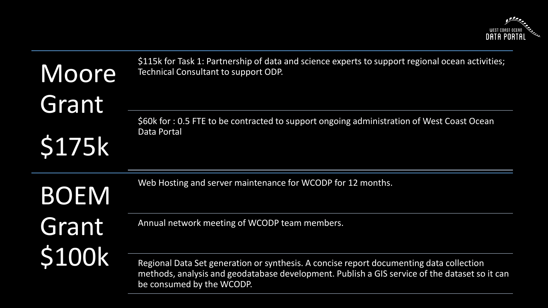

| Moore<br>Grant<br><b>\$175k</b> | \$115k for Task 1: Partnership of data and science experts to support regional ocean activities;<br>Technical Consultant to support ODP.<br>\$60k for : 0.5 FTE to be contracted to support ongoing administration of West Coast Ocean<br><b>Data Portal</b> |
|---------------------------------|--------------------------------------------------------------------------------------------------------------------------------------------------------------------------------------------------------------------------------------------------------------|
| <b>BOEM</b>                     | Web Hosting and server maintenance for WCODP for 12 months.                                                                                                                                                                                                  |
| Grant<br>\$100k                 | Annual network meeting of WCODP team members.                                                                                                                                                                                                                |
|                                 | Regional Data Set generation or synthesis. A concise report documenting data collection<br>methods, analysis and geodatabase development. Publish a GIS service of the dataset so it can<br>$\sim$ concursed by the MCODD                                    |

be consumed by the WCODP.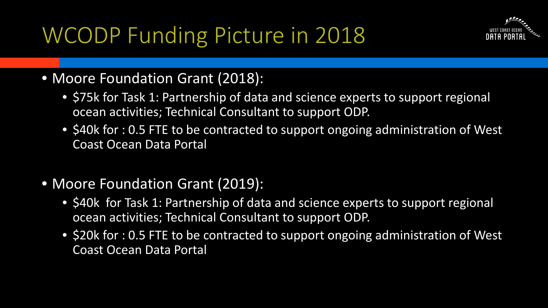WCODP Funding Picture in 2018



#### • Moore Foundation Grant (2018):

- \$75k for Task 1: Partnership of data and science experts to support regional ocean activities; Technical Consultant to support ODP.
- \$40k for : 0.5 FTE to be contracted to support ongoing administration of West Coast Ocean Data Portal
- Moore Foundation Grant (2019):
	- \$40k for Task 1: Partnership of data and science experts to support regional ocean activities; Technical Consultant to support ODP.
	- \$20k for : 0.5 FTE to be contracted to support ongoing administration of West Coast Ocean Data Portal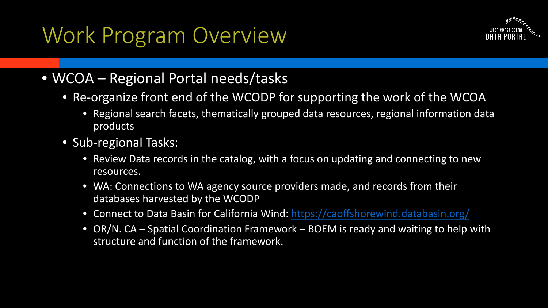## Work Program Overview



#### • WCOA – Regional Portal needs/tasks

- Re-organize front end of the WCODP for supporting the work of the WCOA
	- Regional search facets, thematically grouped data resources, regional information data products
- Sub-regional Tasks:
	- Review Data records in the catalog, with a focus on updating and connecting to new resources.
	- WA: Connections to WA agency source providers made, and records from their databases harvested by the WCODP
	- Connect to Data Basin for California Wind:<https://caoffshorewind.databasin.org/>
	- OR/N. CA Spatial Coordination Framework BOEM is ready and waiting to help with structure and function of the framework.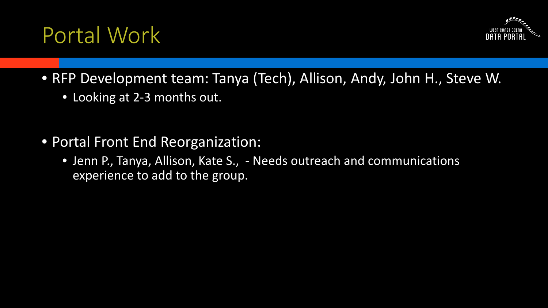## Portal Work



- RFP Development team: Tanya (Tech), Allison, Andy, John H., Steve W.
	- Looking at 2-3 months out.
- Portal Front End Reorganization:
	- Jenn P., Tanya, Allison, Kate S., Needs outreach and communications experience to add to the group.